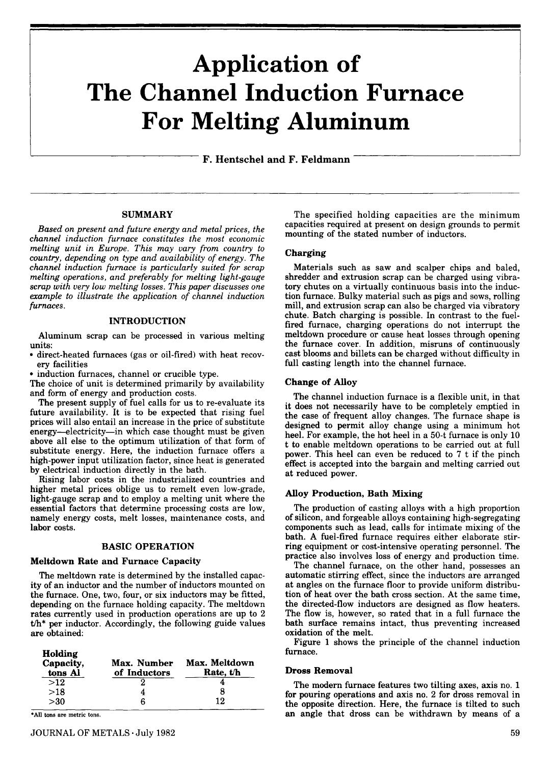# **Application of The Channel Induction Furnace For Melting Aluminum**

F. Hentschel and F. Feldmann

#### SUMMARY

*Based on present and future energy and metal prices, the channel induction furnace constitutes the most economic melting unit in Europe. This may vary from country to country, depending on type and availability of energy. The channel induction furnace is particularly suited for scrap melting operations, and preferably for melting light-gauge scrap with very low melting losses. This paper discusses one example to illustrate the application of channel induction furnaces.* 

#### INTRODUCTION

Aluminum scrap can be processed in various melting units:

• direct-heated furnaces (gas or oil-fired) with heat recovery facilities

• induction furnaces, channel or crucible type.

The choice of unit is determined primarily by availability and form of energy and production costs.

The present supply of fuel calls for us to re-evaluate its future availability. It is to be expected that rising fuel prices will also entail an increase in the price of substitute energy-electricity-in which case thought must be given above all else to the optimum utilization of that form of substitute energy. Here, the induction furnace offers a high-power input utilization factor, since heat is generated by electrical induction directly in the bath.

Rising labor costs in the industrialized countries and higher metal prices oblige us to remelt even low-grade, light-gauge scrap and to employ a melting unit where the essential factors that determine processing costs are low, namely energy costs, melt losses, maintenance costs, and labor costs.

## BASIC OPERATION

#### Meltdown Rate and Furnace Capacity

The meltdown rate is determined by the installed capacity of an inductor and the number of inductors mounted on the furnace. One, two, four, or six inductors may be fitted, depending on the furnace holding capacity. The meltdown rates currently used in production operations are up to 2  $t/h^*$  per inductor. Accordingly, the following guide values are obtained:

| <b>Holding</b><br>Capacity,<br>tons Al | Max. Number<br>of Inductors | Max. Meltdown<br>Rate, th |  |
|----------------------------------------|-----------------------------|---------------------------|--|
| >12                                    |                             |                           |  |
| >18                                    |                             |                           |  |
| >30                                    |                             | 19                        |  |

• All tons are metric tons.

The specified holding capacities are the minimum capacities required at present on design grounds to permit mounting of the stated number of inductors.

## **Charging**

Materials such as saw and scalper chips and baled, shredder and extrusion scrap can be charged using vibratory chutes on a virtually continuous basis into the induction furnace. Bulky material such as pigs and sows, rolling mill, and extrusion scrap can also be charged via vibratory chute. Batch charging is possible. In contrast to the fuelfired furnace, charging operations do not interrupt the meltdown procedure or cause heat losses through opening the furnace cover. In addition, misruns of continuously cast blooms and billets can be charged without difficulty in full casting length into the channel furnace.

## Change of Alloy

The channel induction furnace is a flexible unit, in that it does not necessarily have to be completely emptied in the case of frequent alloy changes. The furnace shape is designed to permit alloy change using a minimum hot heel. For example, the hot heel in a 50-t furnace is only 10 t to enable meltdown operations to be carried out at full power. This heel can even be reduced to 7 t if the pinch effect is accepted into the bargain and melting carried out at reduced power.

#### Alloy Production, Bath Mixing

The production of casting alloys with a high proportion of silicon, and forgeable alloys containing high-segregating components such as lead, calls for intimate mixing of the bath. A fuel-fired furnace requires either elaborate stirring equipment or cost-intensive operating personnel. The practice also involves loss of energy and production time.

The channel furnace, on the other hand, possesses an automatic stirring effect, since the inductors are arranged at angles on the furnace floor to provide uniform distribution of heat over the bath cross section. At the same time, the directed-flow inductors are designed as flow heaters. The flow is, however, so rated that in a full furnace the bath surface remains intact, thus preventing increased oxidation of the melt.

Figure 1 shows the principle of the channel induction furnace.

#### Dross Removal

The modern furnace features two tilting axes, axis no. 1 for pouring operations and axis no. 2 for dross removal in the opposite direction. Here, the furnace is tilted to such an angle that dross can be withdrawn by means of a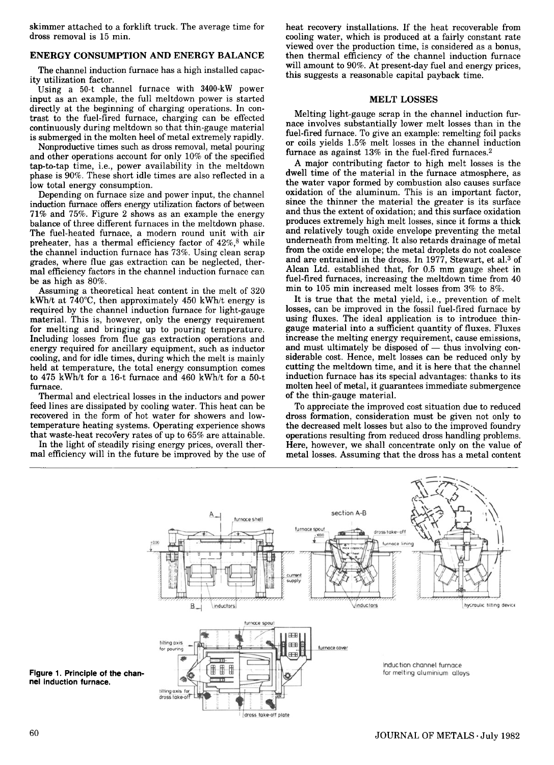skimmer attached to a forklift truck. The average time for dross removal is 15 min.

## ENERGY CONSUMPTION AND ENERGY BALANCE

The channel induction furnace has a high installed capacity utilization factor.

Using a 50-t channel furnace with 3400-kW power input as an example, the full meltdown power is started directly at the beginning of charging operations. In contrast to the fuel-fired furnace, charging can be effected continuously during meltdown so that thin-gauge material is submerged in the molten heel of metal extremely rapidly.

Nonproductive times such as dross removal, metal pouring and other operations account for only 10% of the specified tap-to-tap time, i.e., power availability in the meltdown phase is 90%. These short idle times are also reflected in a low total energy consumption.

Depending on furnace size and power input, the channel induction furnace offers energy utilization factors of between 71% and 75%. Figure 2 shows as an example the energy balance of three different furnaces in the meltdown phase. The fuel-heated furnace, a modern round unit with air preheater, has a thermal efficiency factor of  $42\%$ ,<sup>8</sup> while the channel induction furnace has 73%. Using clean scrap grades, where flue gas extraction can be neglected, thermal efficiency factors in the channel induction furnace can be as high as 80%.

Assuming a theoretical heat content in the melt of 320 *kWh/t* at 740°C, then approximately 450 kWh/t energy is required by the channel induction furnace for light-gauge material. This is, however, only the energy requirement for melting and bringing up to pouring temperature. Including losses from flue gas extraction operations and energy required for ancillary equipment, such as inductor cooling, and for idle times, during which the melt is mainly held at temperature, the total energy consumption comes to 475 kWh/t for a 16-t furnace and 460 kWh/t for a 50-t furnace.

Thermal and electrical losses in the inductors and power feed lines are dissipated by cooling water. This heat can be recovered in the form of hot water for showers and lowtemperature heating systems. Operating experience shows that waste-heat recovery rates of up to 65% are attainable.

In the light of steadily rising energy prices, overall thermal efficiency will in the future be improved by the use of heat recovery installations. If the heat recoverable from cooling water, which is produced at a fairly constant rate viewed over the production time, is considered as a bonus, then thermal efficiency of the channel induction furnace will amount to 90%. At present-day fuel and energy prices, this suggests a reasonable capital payback time.

## MELT LOSSES

Melting light-gauge scrap in the channel induction furnace involves substantially lower melt losses than in the fuel-fired furnace. To give an example: remelting foil packs or coils yields 1.5% melt losses in the channel induction furnace as against 13% in the fuel-fired furnaces.<sup>2</sup>

A major contributing factor to high melt losses is the dwell time of the material in the furnace atmosphere, as the water vapor formed by combustion also causes surface oxidation of the aluminum. This is an important factor, since the thinner the material the greater is its surface and thus the extent of oxidation; and this surface oxidation produces extremely high melt losses, since it forms a thick and relatively tough oxide envelope preventing the metal underneath from melting. It also retards drainage of metal from the oxide envelope; the metal droplets do not coalesce and are entrained in the dross. In 1977, Stewart, et aI.3 of Alcan Ltd. established that, for 0.5 mm gauge sheet in fuel-fired furnaces, increasing the meltdown time from 40 min to 105 min increased melt losses from 3% to 8%.

It is true that the metal yield, i.e., prevention of melt losses, can be improved in the fossil fuel-fired furnace by using fluxes. The ideal application is to introduce thingauge material into a sufficient quantity of fluxes. Fluxes increase the melting energy requirement, cause emissions, and must ultimately be disposed of  $-$  thus involving considerable cost. Hence, melt losses can be reduced only by cutting the meltdown time, and it is here that the channel induction furnace has its special advantages: thanks to its molten heel of metal, it guarantees immediate submergence of the thin-gauge material.

To appreciate the improved cost situation due to reduced dross formation, consideration must be given not only to the decreased melt losses but also to the improved foundry operations resulting from reduced dross handling problems. Here, however, we shall concentrate only on the value of metal losses. Assuming that the dross has a metal content



Figure 1. Principle of the channel induction furnace.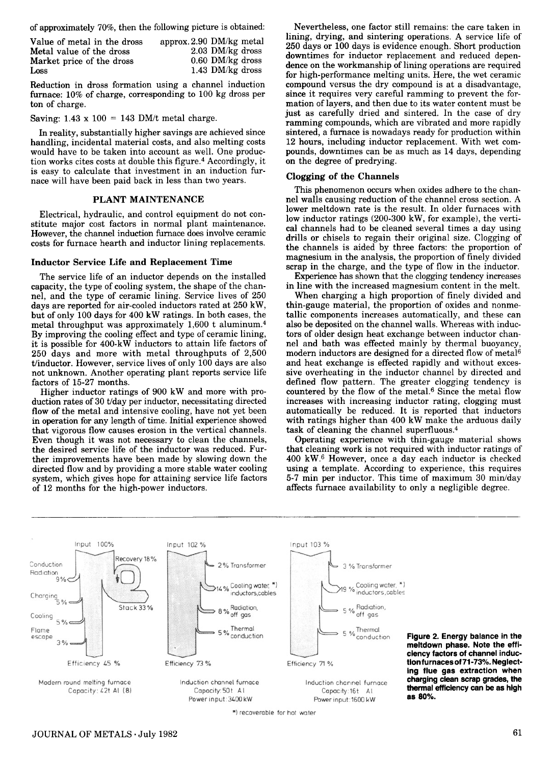of approximately 70%, then the following picture is obtained:

| Value of metal in the dross | approx. $2.90$ DM/kg metal |
|-----------------------------|----------------------------|
| Metal value of the dross    | 2.03 DM/kg dross           |
| Market price of the dross   | $0.60$ DM/kg dross         |
| Loss                        | 1.43 DM/kg dross           |

Reduction in dross formation using a channel induction furnace: 10% of charge, corresponding to 100 kg dross per ton of charge.

Saving:  $1.43 \times 100 = 143 \text{ DM/t}$  metal charge.

In reality, substantially higher savings are achieved since handling, incidental material costs, and also melting costs would have to be taken into account as well. One production works cites costs at double this figure.<sup>4</sup> Accordingly, it is easy to calculate that investment in an induction furnace will have been paid back in less than two years.

### PLANT MAINTENANCE

Electrical, hydraulic, and control equipment do not constitute major cost factors in normal plant maintenance. However, the channel induction furnace does involve ceramic costs for furnace hearth and inductor lining replacements.

#### Inductor Service Life and Replacement Time

The service life of an inductor depends on the installed capacity, the type of cooling system, the shape of the channel, and the type of ceramic lining. Service lives of 250 days are reported for air-cooled inductors rated at 250 kW, but of only 100 days for 400 kW ratings. In both cases, the metal throughput was approximately 1,600 t aluminum.<sup>4</sup> By improving the cooling effect and type of ceramic lining, it is possible for 400-kW inductors to attain life factors of 250 days and more with metal throughputs of 2,500 t/inductor. However, service lives of only 100 days are also not unknown. Another operating plant reports service life factors of 15-27 months.

Higher inductor ratings of 900 kW and more with production rates of 30 t/day per inductor, necessitating directed flow of the metal and intensive cooling, have not yet been in operation for any length of time. Initial experience showed that vigorous flow causes erosion in the vertical channels. Even though it was not necessary to clean the channels, the desired service life of the inductor was reduced. Further improvements have been made by slowing down the directed flow and by providing a more stable water cooling system, which gives hope for attaining service life factors of 12 months for the high-power inductors.

Nevertheless, one factor still remains: the care taken in lining, drying, and sintering operations. A service life of 250 days or 100 days is evidence enough. Short production downtimes for inductor replacement and reduced dependence on the workmanship of lining operations are required for high-performance melting units. Here, the wet ceramic compound versus the dry compound is at a disadvantage, since it requires very careful ramming to prevent the formation of layers, and then due to its water content must be just as carefully dried and sintered. In the case of dry ramming compounds, which are vibrated and more rapidly sintered, a furnace is nowadays ready for production within 12 hours, including inductor replacement. With wet compounds, downtimes can be as much as 14 days, depending on the degree of predrying.

#### Clogging of the Channels

This phenomenon occurs when oxides adhere to the channel walls causing reduction of the channel cross section. A lower meltdown rate is the result. In older furnaces with low inductor ratings (200-300 kW, for example), the vertical channels had to be cleaned several times a day using drills or chisels to regain their original size. Clogging of the channels is aided by three factors: the proportion of magnesium in the analysis, the proportion of finely divided scrap in the charge, and the type of flow in the inductor.

Experience has shown that the clogging tendency increases in line with the increased magnesium content in the melt.

When charging a high proportion of finely divided and thin-gauge material, the proportion of oxides and nonmetallic components increases automatically, and these can also be deposited on the channel walls. Whereas with inductors of older design heat exchange between inductor channel and bath was effected mainly by thermal buoyancy, modern inductors are designed for a directed flow of metal<sup>6</sup> and heat exchange is effected rapidly and without excessive overheating in the inductor channel by directed and defined flow pattern. The greater clogging tendency is countered by the flow of the metal.<sup>6</sup> Since the metal flow increases with increasing inductor rating, clogging must automatically be reduced. It is reported that inductors with ratings higher than 400 kW make the arduous daily task of cleaning the channel superfluous.<sup>4</sup>

Operating experience with thin-gauge material shows that cleaning work is not required with inductor ratings of 400 kW.6 However, once a day each inductor is checked using a template. According to experience, this requires 5-7 min per inductor. This time of maximum 30 min/day affects furnace availability to only a negligible degree.



Figure 2. Energy balance in the meltdown phase. Note the efficiency factors of channel induction furnaces of 71-73%. Neglecting flue gas extraction when charging clean scrap grades, the thermal efficiency can be as high as 80%.

\*) recoverable for hot water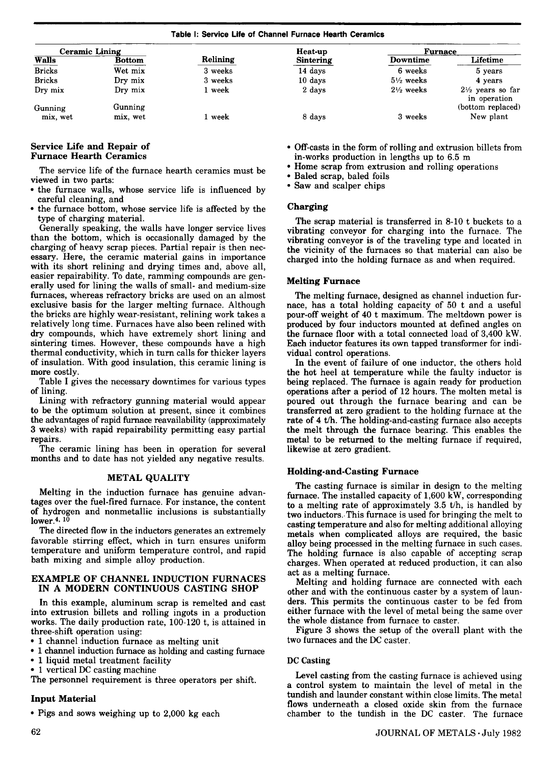Table I: Service Life of Channel Furnace Hearth Ceramics

| Ceramic Lining |               |          | Heat-up          | <b>Furnace</b>       |                                             |
|----------------|---------------|----------|------------------|----------------------|---------------------------------------------|
| <b>Walls</b>   | <b>Bottom</b> | Relining | <b>Sintering</b> | Downtime             | Lifetime                                    |
| <b>Bricks</b>  | Wet mix       | 3 weeks  | 14 days          | 6 weeks              | 5 years                                     |
| <b>Bricks</b>  | Dry mix       | 3 weeks  | 10 days          | $5\frac{1}{2}$ weeks | 4 years                                     |
| Dry mix        | Dry mix       | l week   | 2 days           | $2\frac{1}{2}$ weeks | $2\frac{1}{2}$ years so far<br>in operation |
| Gunning        | Gunning       |          |                  |                      | (bottom replaced)                           |
| mix, wet       | mix, wet      | week     | 8 days           | 3 weeks              | New plant                                   |

## Service Life and Repair of Furnace Hearth Ceramics

The service life of the furnace hearth ceramics must be viewed in two parts:

- the furnace walls, whose service life is influenced by careful cleaning, and
- the furnace bottom, whose service life is affected by the type of charging material.

Generally speaking, the walls have longer service lives than the bottom, which is occasionally damaged by the charging of heavy scrap pieces. Partial repair is then necessary. Here, the ceramic material gains in importance with its short relining and drying times and, above all, easier repairability. To date, ramming compounds are generally used for lining the walls of small- and medium-size furnaces, whereas refractory bricks are used on an almost exclusive basis for the larger melting furnace. Although the bricks are highly wear-resistant, relining work takes a relatively long time. Furnaces have also been relined with dry compounds, which have extremely short lining and sintering times. However, these compounds have a high thermal conductivity, which in turn calls for thicker layers of insulation. With good insulation, this ceramic lining is more costly.

Table I gives the necessary downtimes for various types of lining.

Lining with refractory gunning material would appear to be the optimum solution at present, since it combines the advantages of rapid furnace reavailability (approximately 3 weeks) with rapid repairability permitting easy partial repairs.

The ceramic lining has been in operation for several months and to date has not yielded any negative results.

## METAL QUALITY

Melting in the induction furnace has genuine advantages over the fuel-fired furnace. For instance, the content of hydrogen and nonmetallic inclusions is substantially  $lower<sup>4</sup>, 10$ 

The directed flow in the inductors generates an extremely favorable stirring effect, which in turn ensures uniform temperature and uniform temperature control, and rapid bath mixing and simple alloy production.

#### EXAMPLE OF CHANNEL INDUCTION FURNACES IN A MODERN CONTINUOUS CASTING SHOP

In this example, aluminum scrap is remelted and cast into extrusion billets and rolling ingots in a production works. The daily production rate, 100-120 t, is attained in three-shift operation using:

- 1 channel induction furnace as melting unit
- 1 channel induction furnace as holding and casting furnace
- 1 liquid metal treatment facility

• 1 vertical DC casting machine

The personnel requirement is three operators per shift.

# Input Material

• Pigs and sows weighing up to 2,000 kg each

• Off-casts in the form of rolling and extrusion billets from in-works production in lengths up to 6.5 m

- Home scrap from extrusion and rolling operations
- Baled scrap, baled foils
- Saw and scalper chips

## Charging

The scrap material is transferred in 8-10 t buckets to a vibrating conveyor for charging into the furnace. The vibrating conveyor is of the traveling type and located in the vicinity of the furnaces so that material can also be charged into the holding furnace as and when required.

## Melting Furnace

The melting furnace, designed as channel induction furnace, has a total holding capacity of 50 t and a useful pour-off weight of 40 t maximum. The meltdown power is produced by four inductors mounted at defined angles on the furnace floor with a total connected load of 3,400 kW. Each inductor features its own tapped transformer for individual control operations.

In the event of failure of one inductor, the others hold the hot heel at temperature while the faulty inductor is being replaced. The furnace is again ready for production operations after a period of 12 hours. The molten metal is poured out through the furnace bearing and can be transferred at zero gradient to the holding furnace at the rate of 4  $th$ . The holding-and-casting furnace also accepts the melt through the furnace bearing. This enables the metal to be returned to the melting furnace if required, likewise at zero gradient.

## Holding-and-Casting Furnace

The casting furnace is similar in design to the melting furnace. The installed capacity of 1,600 kW, corresponding to a melting rate of approximately  $3.5$  t/h, is handled by two inductors.-This furnace is used for bringing the melt to casting temperature and also for melting additional alloying metals when complicated alloys are required, the basic alloy being processed in the melting furnace in such cases. The holding furnace is also capable of accepting scrap charges. When operated at reduced production, it can also act as a melting furnace.

Melting and holding furnace are connected with each other and with the continuous caster by a system of launders. This permits the continuous caster to be fed from either furnace with the level of metal being the same over the whole distance from furnace to caster.

Figure 3 shows the setup of the overall plant with the two furnaces and the DC caster.

## DC Casting

Level casting from the casting furnace is achieved using a control system to maintain the level of metal in the tundish and launder constant within close limits. The metal flows underneath a closed oxide skin from the furnace chamber to the tundish in the DC caster. The furnace